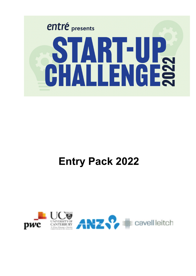

# **Entry Pack 2022**

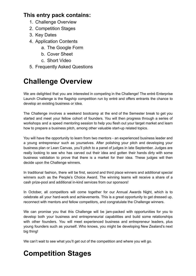### **This entry pack contains:**

- 1. Challenge Overview
- 2. Competition Stages
- 3. Key Dates
- 4. Application Contents
	- a. The Google Form
	- b. Cover Sheet
	- c. Short Video
- 5. Frequently Asked Questions

## **Challenge Overview**

We are delighted that you are interested in competing in the Challenge! The entré Enterprise Launch Challenge is the flagship competition run by entré and offers entrants the chance to develop an existing business or idea.

The Challenge involves a weekend bootcamp at the end of the Semester break to get you started and meet your fellow cohort of founders. You will then progress through a series of workshops and a speed mentoring session to help you flesh out your target market and learn how to prepare a business pitch, among other valuable start-up related topics.

You will have the opportunity to learn from two mentors - an experienced business leader and a young entrepreneur such as yourselves. After polishing your pitch and developing your business plan or Lean Canvas, you'll pitch to a panel of judges in late September. Judges are really looking to see who has carved out their idea and gotten their hands dirty with some business validation to prove that there is a market for their idea. These judges will then decide upon the Challenge winners.

In traditional fashion, there will be first, second and third place winners and additional special winners such as the People's Choice Award. The winning teams will receive a share of a cash prize-pool and additional in-kind services from our sponsors!

In October, all competitors will come together for our Annual Awards Night, which is to celebrate all your hard-work and achievements. This is a great opportunity to get dressed up, reconnect with mentors and fellow competitors, and congratulate the Challenge winners.

We can promise you that this Challenge will be jam-packed with opportunities for you to develop both your business and entrepreneurial capabilities and build some relationships with other founders. You will meet experienced business and entrepreneur leaders, plus young founders such as yourself. Who knows, you might be developing New Zealand's next big thing!

We can't wait to see what you'll get out of the competition and where you will go.

## **Competition Stages**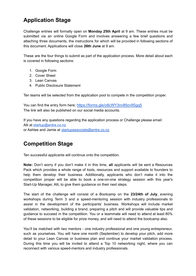### **Application Stage**

Challenge entries will formally open on **Monday 25th April** at 9 am. These entries must be submitted via an online Google Form and involves answering a few brief questions and attaching three documents, the instructions for which will be provided in following sections of this document. Applications will close **26th June** at 9 am.

These are the four things to submit as part of the application process. More detail about each is covered in following sections:

- 1. Google Form
- 2. Cover Sheet
- 3. Lean Canvas
- 4. Public Disclosure Statement

Ten teams will be selected from the application pool to compete in the competition proper.

You can find the entry form here: [https://forms.gle/o8cWY3nv89zv9Sgq5](https://forms.gle/o8cWY3nv89zv9Sgq5?fbclid=IwAR348Xj0RVRNKOSP-bsZMJx3geKTkYQeoz6iL6pzDJ17K1egXRzDhQwKKqk) The link will also be published on our social media accounts.

If you have any questions regarding the application process or Challenge please email: Alli at [startup@entre.co.nz](mailto:startup@entre.co.nz) or Ashlee and Jamie at [startupassociate@entre.co.nz](mailto:startupassociate@entre.co.nz)

### **Competition Stage**

Ten successful applicants will continue onto the competition.

**Note:** Don't worry if you don't make it in this time, **all** applicants will be sent a Resources Pack which provides a whole range of tools, resources and support available to founders to help them develop their business. Additionally, applicants who don't make it into the competition proper will be able to book a one-on-one strategy session with this year's Start-Up Manager, Alli, to give them guidance on their next steps.

The start of the challenge will consist of a Bootcamp on the **23/24th of July**, evening workshops during Term 3 and a speed-mentoring session with industry professionals to assist in the development of the participants' business. Workshops will include market validation, networking, building a brand, preparing a pitch and will provide valuable tips and guidance to succeed in the competition. You or a teammate will need to attend at least 80% of these sessions to be eligible for prize money, and will need to attend the bootcamp also.

You'll be matched with two mentors - one industry professional and one young entrepreneur, such as yourselves. You will have one month (September) to develop your pitch, add more detail to your Lean Canvas or business plan and continue your market validation process. During this time you will be invited to attend a Top 10 networking night, where you can reconnect with various speed-mentors and industry professionals.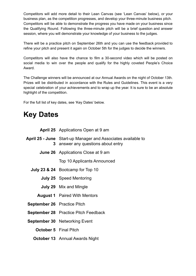Competitors will add more detail to their Lean Canvas (see 'Lean Canvas' below), or your business plan, as the competition progresses, and develop your three-minute business pitch. Competitors will be able to demonstrate the progress you have made on your business since the Qualifying Round. Following the three-minute pitch will be a brief question and answer session, where you will demonstrate your knowledge of your business to the judges.

There will be a practice pitch on September 26th and you can use the feedback provided to refine your pitch and present it again on October 5th for the judges to decide the winners.

Competitors will also have the chance to film a 30-second video which will be posted on social media to win over the people and qualify for the highly coveted People's Choice Award.

The Challenge winners will be announced at our Annual Awards on the night of October 13th. Prizes will be distributed in accordance with the Rules and Guidelines. This event is a very special celebration of your achievements and to wrap up the year. It is sure to be an absolute highlight of the competition.

For the full list of key dates, see 'Key Dates' below.

## **Key Dates**

|                                    | <b>April 25</b> Applications Open at 9 am                                                               |  |  |
|------------------------------------|---------------------------------------------------------------------------------------------------------|--|--|
| 3                                  | <b>April 25 - June</b> Start-up Manager and Associates available to<br>answer any questions about entry |  |  |
|                                    | <b>June 26</b> Applications Close at 9 am                                                               |  |  |
|                                    | <b>Top 10 Applicants Announced</b>                                                                      |  |  |
|                                    | <b>July 23 &amp; 24</b> Bootcamp for Top 10                                                             |  |  |
|                                    | <b>July 25</b> Speed Mentoring                                                                          |  |  |
|                                    | <b>July 29</b> Mix and Mingle                                                                           |  |  |
|                                    | <b>August 1</b> Paired With Mentors                                                                     |  |  |
| <b>September 26</b> Practice Pitch |                                                                                                         |  |  |
|                                    | <b>September 28</b> Practice Pitch Feedback                                                             |  |  |
|                                    | <b>September 30 Networking Event</b>                                                                    |  |  |
|                                    | <b>October 5</b> Final Pitch                                                                            |  |  |
|                                    | <b>October 13</b> Annual Awards Night                                                                   |  |  |
|                                    |                                                                                                         |  |  |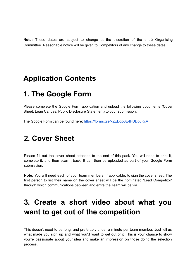**Note:** These dates are subject to change at the discretion of the entré Organising Committee. Reasonable notice will be given to Competitors of any change to these dates.

### **Application Contents**

### **1. The Google Form**

Please complete the Google Form application and upload the following documents (Cover Sheet, Lean Canvas, Public Disclosure Statement) to your submission.

The Google Form can be found here: <https://forms.gle/xZEDq53E4FUDpuKcA>

## **2. Cover Sheet**

Please fill out the cover sheet attached to the end of this pack. You will need to print it, complete it, and then scan it back. It can then be uploaded as part of your Google Form submission.

**Note:** You will need each of your team members, if applicable, to sign the cover sheet. The first person to list their name on the cover sheet will be the nominated 'Lead Competitor' through which communications between and entré the Team will be via.

## **3. Create a short video about what you want to get out of the competition**

This doesn't need to be long, and preferably under a minute per team member. Just tell us what made you sign up and what you'd want to get out of it. This is your chance to show you're passionate about your idea and make an impression on those doing the selection process.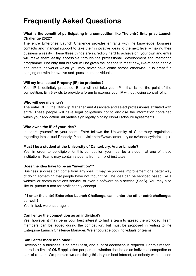## **Frequently Asked Questions**

#### **What is the benefit of participating in a competition like The entré Enterprise Launch Challenge 2022?**

The entré Enterprise Launch Challenge provides entrants with the knowledge, business contacts and financial support to take their innovative ideas to the next level – making their business a reality. These three things are incredibly hard to achieve on your own and entré will make them easily accessible through the professional development and mentoring programme. Not only that but you will be given the chance to meet new, like-minded people and create networks which you may never have come across otherwise. It is great fun hanging out with innovative and passionate individuals.

#### **Will my Intellectual Property (IP) be protected?**

Your IP is definitely protected! Entré will not take your IP  $-$  that is not the point of the competition. Entré exists to provide a forum to express your IP without losing control of it.

#### **Who will see my entry?**

The entré CEO, the Start-Up Manager and Associate and select professionals affiliated with entré. These people will have legal obligations not to disclose the information contained within your application. All parties sign legally binding Non-Disclosure Agreements.

#### **Who owns the IP of your idea?**

In short, yourself or your team. Entré follows the University of Canterbury regulations regarding Intellectual Property. Please visit: http://www.canterbury.ac.nz/ucpolicy/index.aspx

#### **Must I be a student at the University of Canterbury, Ara or Lincoln?**

Yes, in order to be eligible for this competition you must be a student at one of these institutions. Teams may contain students from a mix of institutes.

#### **Does the idea have to be an "invention"?**

Business success can come from any idea. It may be process improvement or a better way of doing something that people have not thought of. The idea can be serviced based like a website or communications service, or even a software as a service (SaaS). You may also like to pursue a non-for-profit charity concept.

#### **If I enter the entré Enterprise Launch Challenge, can I enter the other entré challenges as well?**

Yes, in fact, we encourage it!

#### **Can I enter the competition as an individual?**

Yes, however it may be in your best interest to find a team to spread the workload. Team members can be added during the competition, but must be proposed in writing to the Enterprise Launch Challenge Manager. We encourage both individuals or teams.

#### **Can I enter more than once?**

Developing a business is no small task, and a lot of dedication is required. For this reason, there is a limit of **ONE** application per person, whether that be as an individual competitor or part of a team. We promise we are doing this in your best interest, as nobody wants to see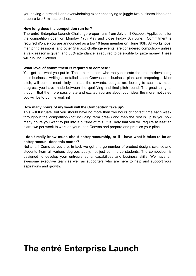you having a stressful and overwhelming experience trying to juggle two business ideas and prepare two 3-minute pitches.

#### **How long does the competition run for?**

The entré Enterprise Launch Challenge proper runs from July until October. Applications for the competition open on Monday 17th May and close Friday 6th June. Commitment is required if/once you are announced as a top 10 team member on June 10th. All workshops, mentoring sessions, and other Start-Up challenge events are considered compulsory unless a valid reason is given, and 80% attendance is required to be eligible for prize money. These will run until October.

#### **What level of commitment is required to compete?**

You get out what you put in. Those competitors who really dedicate the time to developing their business, writing a detailed Lean Canvas and business plan, and preparing a killer pitch, will be the most likely to reap the rewards. Judges are looking to see how much progress you have made between the qualifying and final pitch round. The great thing is, though, that the more passionate and excited you are about your idea, the more motivated you will be to put the work in!

#### **How many hours of my week will the Competition take up?**

This will fluctuate, but you should have no more than two hours of contact time each week throughout the competition (not including term break) and then the rest is up to you how many hours you want to put into it outside of this. It is likely that you will require at least an extra two per week to work on your Lean Canvas and prepare and practice your pitch.

#### **I don't really know much about entrepreneurship, or if I have what it takes to be an entrepreneur - does this matter?**

Not at all! Come as you are. In fact, we get a large number of product design, science and students from all various degrees apply, not just commerce students. The competition is designed to develop your entrepreneurial capabilities and business skills. We have an awesome executive team as well as supporters who are here to help and support your aspirations and growth.

## **The entré Enterprise Launch**